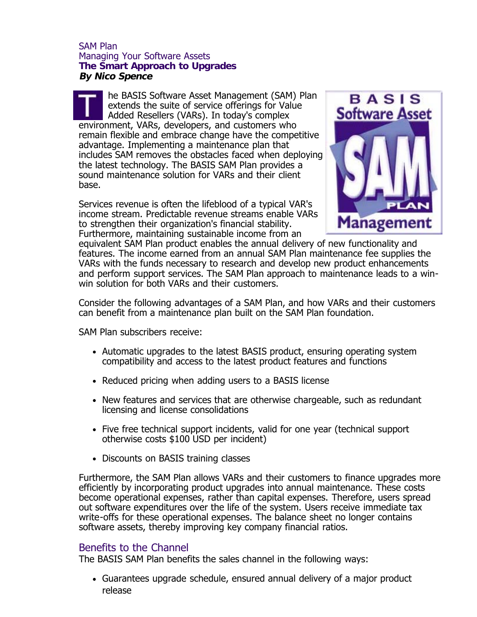## SAM Plan Managing Your Software Assets **The Smart Approach to Upgrades By Nico Spence**

he BASIS Software Asset Management (SAM) Plan extends the suite of service offerings for Value Added Resellers (VARs). In today's complex environment, VARs, developers, and customers who remain flexible and embrace change have the competitive advantage. Implementing a maintenance plan that includes SAM removes the obstacles faced when deploying the latest technology. The BASIS SAM Plan provides a sound maintenance solution for VARs and their client base.

Services revenue is often the lifeblood of a typical VAR's income stream. Predictable revenue streams enable VARs to strengthen their organization's financial stability. Furthermore, maintaining sustainable income from an



equivalent SAM Plan product enables the annual delivery of new functionality and features. The income earned from an annual SAM Plan maintenance fee supplies the VARs with the funds necessary to research and develop new product enhancements and perform support services. The SAM Plan approach to maintenance leads to a winwin solution for both VARs and their customers.

Consider the following advantages of a SAM Plan, and how VARs and their customers can benefit from a maintenance plan built on the SAM Plan foundation.

SAM Plan subscribers receive:

- Automatic upgrades to the latest BASIS product, ensuring operating system compatibility and access to the latest product features and functions
- Reduced pricing when adding users to a BASIS license
- New features and services that are otherwise chargeable, such as redundant licensing and license consolidations
- Five free technical support incidents, valid for one year (technical support otherwise costs \$100 USD per incident)
- Discounts on BASIS training classes

Furthermore, the SAM Plan allows VARs and their customers to finance upgrades more efficiently by incorporating product upgrades into annual maintenance. These costs become operational expenses, rather than capital expenses. Therefore, users spread out software expenditures over the life of the system. Users receive immediate tax write-offs for these operational expenses. The balance sheet no longer contains software assets, thereby improving key company financial ratios.

## Benefits to the Channel

The BASIS SAM Plan benefits the sales channel in the following ways:

Guarantees upgrade schedule, ensured annual delivery of a major product release